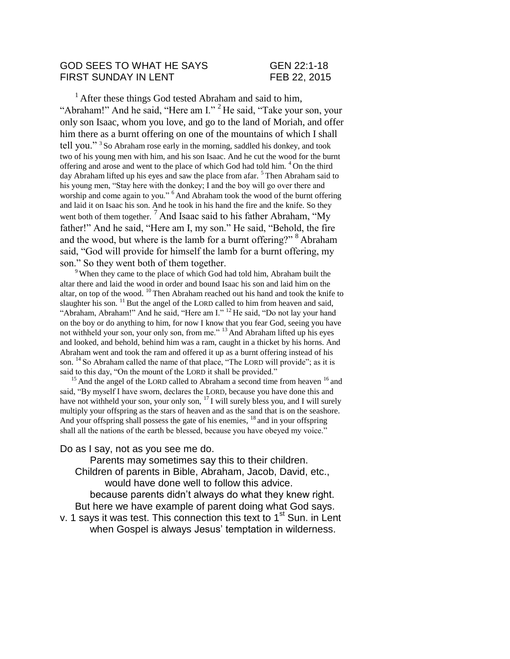#### GOD SEES TO WHAT HE SAYS GEN 22:1-18 FIRST SUNDAY IN LENT FEB 22, 2015

 $1$  After these things God tested Abraham and said to him, "Abraham!" And he said, "Here am I." <sup>2</sup> He said, "Take your son, your only son Isaac, whom you love, and go to the land of Moriah, and offer him there as a burnt offering on one of the mountains of which I shall tell you."<sup>3</sup> So Abraham rose early in the morning, saddled his donkey, and took two of his young men with him, and his son Isaac. And he cut the wood for the burnt offering and arose and went to the place of which God had told him.  $4$ On the third day Abraham lifted up his eyes and saw the place from afar. <sup>5</sup>Then Abraham said to his young men, "Stay here with the donkey; I and the boy will go over there and worship and come again to you." <sup>6</sup> And Abraham took the wood of the burnt offering and laid it on Isaac his son. And he took in his hand the fire and the knife. So they went both of them together.<sup>7</sup> And Isaac said to his father Abraham, "My father!" And he said, "Here am I, my son." He said, "Behold, the fire and the wood, but where is the lamb for a burnt offering?"  $8$  Abraham said, "God will provide for himself the lamb for a burnt offering, my son." So they went both of them together.

<sup>9</sup>When they came to the place of which God had told him, Abraham built the altar there and laid the wood in order and bound Isaac his son and laid him on the altar, on top of the wood.  $^{10}$  Then Abraham reached out his hand and took the knife to slaughter his son.  $^{11}$  But the angel of the LORD called to him from heaven and said, "Abraham, Abraham!" And he said, "Here am I." <sup>12</sup> He said, "Do not lay your hand on the boy or do anything to him, for now I know that you fear God, seeing you have not withheld your son, your only son, from me."<sup>13</sup> And Abraham lifted up his eyes and looked, and behold, behind him was a ram, caught in a thicket by his horns. And Abraham went and took the ram and offered it up as a burnt offering instead of his son. <sup>14</sup> So Abraham called the name of that place, "The LORD will provide"; as it is said to this day, "On the mount of the LORD it shall be provided."

 $15$  And the angel of the LORD called to Abraham a second time from heaven  $16$  and said, "By myself I have sworn, declares the LORD, because you have done this and have not withheld your son, your only son,  $17$  I will surely bless you, and I will surely multiply your offspring as the stars of heaven and as the sand that is on the seashore. And your offspring shall possess the gate of his enemies,  $^{18}$  and in your offspring shall all the nations of the earth be blessed, because you have obeyed my voice."

Do as I say, not as you see me do.

Parents may sometimes say this to their children. Children of parents in Bible, Abraham, Jacob, David, etc., would have done well to follow this advice. because parents didn't always do what they knew right.

But here we have example of parent doing what God says. v. 1 says it was test. This connection this text to  $1<sup>st</sup>$  Sun. in Lent when Gospel is always Jesus' temptation in wilderness.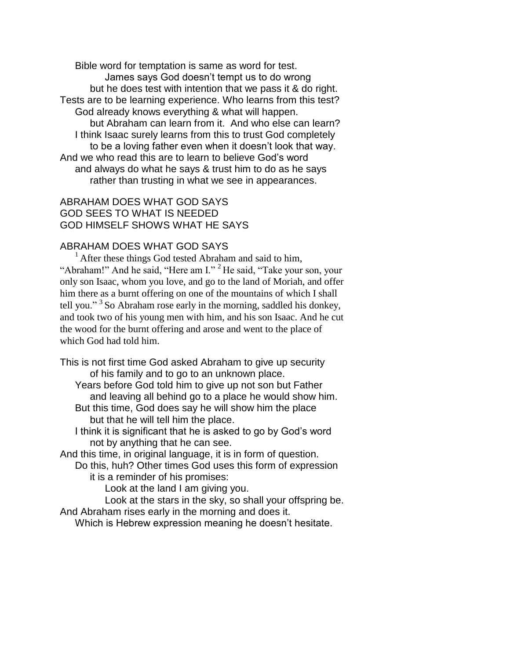Bible word for temptation is same as word for test. James says God doesn't tempt us to do wrong but he does test with intention that we pass it & do right. Tests are to be learning experience. Who learns from this test? God already knows everything & what will happen. but Abraham can learn from it. And who else can learn? I think Isaac surely learns from this to trust God completely to be a loving father even when it doesn't look that way. And we who read this are to learn to believe God's word and always do what he says & trust him to do as he says rather than trusting in what we see in appearances.

## ABRAHAM DOES WHAT GOD SAYS GOD SEES TO WHAT IS NEEDED GOD HIMSELF SHOWS WHAT HE SAYS

### ABRAHAM DOES WHAT GOD SAYS

 $<sup>1</sup>$  After these things God tested Abraham and said to him,</sup> "Abraham!" And he said, "Here am I." <sup>2</sup> He said, "Take your son, your only son Isaac, whom you love, and go to the land of Moriah, and offer him there as a burnt offering on one of the mountains of which I shall tell you."<sup>3</sup> So Abraham rose early in the morning, saddled his donkey, and took two of his young men with him, and his son Isaac. And he cut the wood for the burnt offering and arose and went to the place of which God had told him.

This is not first time God asked Abraham to give up security of his family and to go to an unknown place.

Years before God told him to give up not son but Father and leaving all behind go to a place he would show him.

But this time, God does say he will show him the place but that he will tell him the place.

I think it is significant that he is asked to go by God's word not by anything that he can see.

And this time, in original language, it is in form of question.

Do this, huh? Other times God uses this form of expression it is a reminder of his promises:

Look at the land I am giving you.

Look at the stars in the sky, so shall your offspring be. And Abraham rises early in the morning and does it.

Which is Hebrew expression meaning he doesn't hesitate.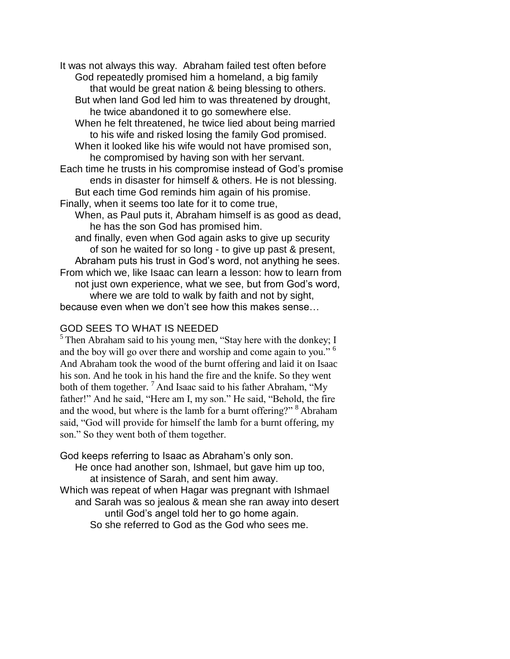It was not always this way. Abraham failed test often before God repeatedly promised him a homeland, a big family that would be great nation & being blessing to others.

But when land God led him to was threatened by drought, he twice abandoned it to go somewhere else.

When he felt threatened, he twice lied about being married to his wife and risked losing the family God promised. When it looked like his wife would not have promised son,

he compromised by having son with her servant.

Each time he trusts in his compromise instead of God's promise ends in disaster for himself & others. He is not blessing. But each time God reminds him again of his promise.

Finally, when it seems too late for it to come true,

When, as Paul puts it, Abraham himself is as good as dead, he has the son God has promised him.

and finally, even when God again asks to give up security of son he waited for so long - to give up past & present, Abraham puts his trust in God's word, not anything he sees. From which we, like Isaac can learn a lesson: how to learn from not just own experience, what we see, but from God's word, where we are told to walk by faith and not by sight,

because even when we don't see how this makes sense…

### GOD SEES TO WHAT IS NEEDED

 $<sup>5</sup>$ Then Abraham said to his young men, "Stay here with the donkey; I</sup> and the boy will go over there and worship and come again to you." <sup>6</sup> And Abraham took the wood of the burnt offering and laid it on Isaac his son. And he took in his hand the fire and the knife. So they went both of them together.<sup>7</sup> And Isaac said to his father Abraham, "My father!" And he said, "Here am I, my son." He said, "Behold, the fire and the wood, but where is the lamb for a burnt offering?" <sup>8</sup> Abraham said, "God will provide for himself the lamb for a burnt offering, my son." So they went both of them together.

God keeps referring to Isaac as Abraham's only son.

He once had another son, Ishmael, but gave him up too, at insistence of Sarah, and sent him away. Which was repeat of when Hagar was pregnant with Ishmael and Sarah was so jealous & mean she ran away into desert until God's angel told her to go home again.

So she referred to God as the God who sees me.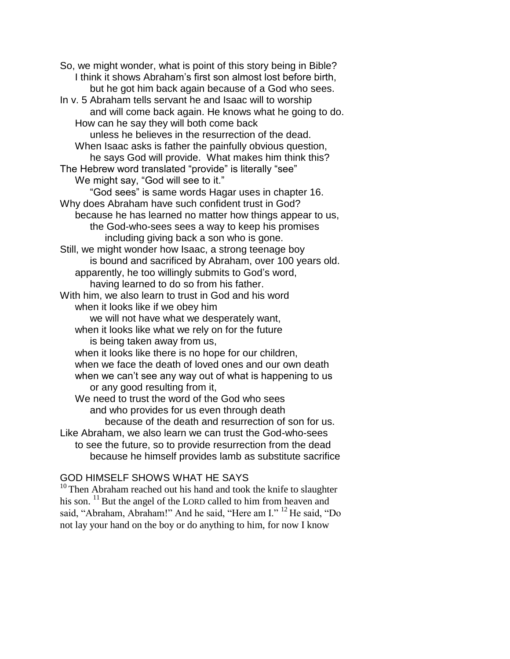So, we might wonder, what is point of this story being in Bible? I think it shows Abraham's first son almost lost before birth, but he got him back again because of a God who sees. In v. 5 Abraham tells servant he and Isaac will to worship and will come back again. He knows what he going to do. How can he say they will both come back unless he believes in the resurrection of the dead. When Isaac asks is father the painfully obvious question, he says God will provide. What makes him think this? The Hebrew word translated "provide" is literally "see" We might say, "God will see to it." "God sees" is same words Hagar uses in chapter 16. Why does Abraham have such confident trust in God? because he has learned no matter how things appear to us, the God-who-sees sees a way to keep his promises including giving back a son who is gone. Still, we might wonder how Isaac, a strong teenage boy is bound and sacrificed by Abraham, over 100 years old. apparently, he too willingly submits to God's word, having learned to do so from his father. With him, we also learn to trust in God and his word when it looks like if we obey him we will not have what we desperately want, when it looks like what we rely on for the future is being taken away from us, when it looks like there is no hope for our children, when we face the death of loved ones and our own death when we can't see any way out of what is happening to us or any good resulting from it, We need to trust the word of the God who sees and who provides for us even through death because of the death and resurrection of son for us. Like Abraham, we also learn we can trust the God-who-sees to see the future, so to provide resurrection from the dead because he himself provides lamb as substitute sacrifice

## GOD HIMSELF SHOWS WHAT HE SAYS

 $10$ <sup>10</sup>Then Abraham reached out his hand and took the knife to slaughter his son.  $^{11}$  But the angel of the LORD called to him from heaven and said, "Abraham, Abraham!" And he said, "Here am I." <sup>12</sup> He said, "Do not lay your hand on the boy or do anything to him, for now I know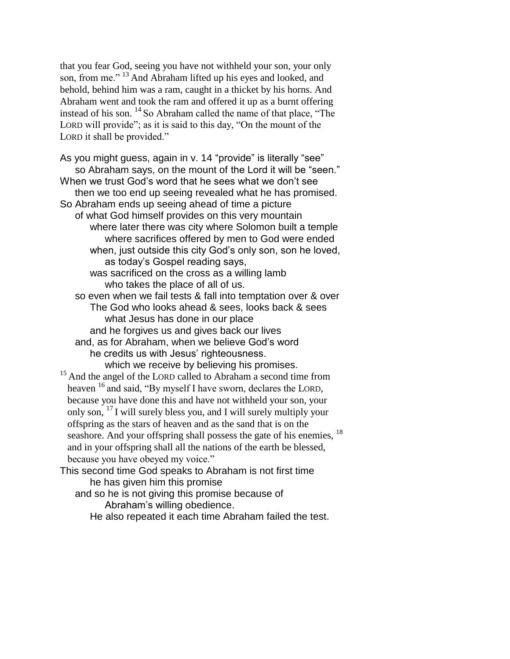that you fear God, seeing you have not withheld your son, your only son, from me."<sup>13</sup> And Abraham lifted up his eyes and looked, and behold, behind him was a ram, caught in a thicket by his horns. And Abraham went and took the ram and offered it up as a burnt offering instead of his son. <sup>14</sup> So Abraham called the name of that place, "The LORD will provide"; as it is said to this day, "On the mount of the LORD it shall be provided."

As you might guess, again in v. 14 "provide" is literally "see" so Abraham says, on the mount of the Lord it will be "seen." When we trust God's word that he sees what we don't see then we too end up seeing revealed what he has promised. So Abraham ends up seeing ahead of time a picture of what God himself provides on this very mountain where later there was city where Solomon built a temple where sacrifices offered by men to God were ended when, just outside this city God's only son, son he loved, as today's Gospel reading says, was sacrificed on the cross as a willing lamb who takes the place of all of us. so even when we fail tests & fall into temptation over & over The God who looks ahead & sees, looks back & sees what Jesus has done in our place and he forgives us and gives back our lives and, as for Abraham, when we believe God's word he credits us with Jesus' righteousness. which we receive by believing his promises. <sup>15</sup> And the angel of the LORD called to Abraham a second time from heaven <sup>16</sup> and said, "By myself I have sworn, declares the LORD, because you have done this and have not withheld your son, your only son, <sup>17</sup>I will surely bless you, and I will surely multiply your offspring as the stars of heaven and as the sand that is on the seashore. And your offspring shall possess the gate of his enemies,  $^{18}$ and in your offspring shall all the nations of the earth be blessed, because you have obeyed my voice."

This second time God speaks to Abraham is not first time he has given him this promise

and so he is not giving this promise because of Abraham's willing obedience. He also repeated it each time Abraham failed the test.